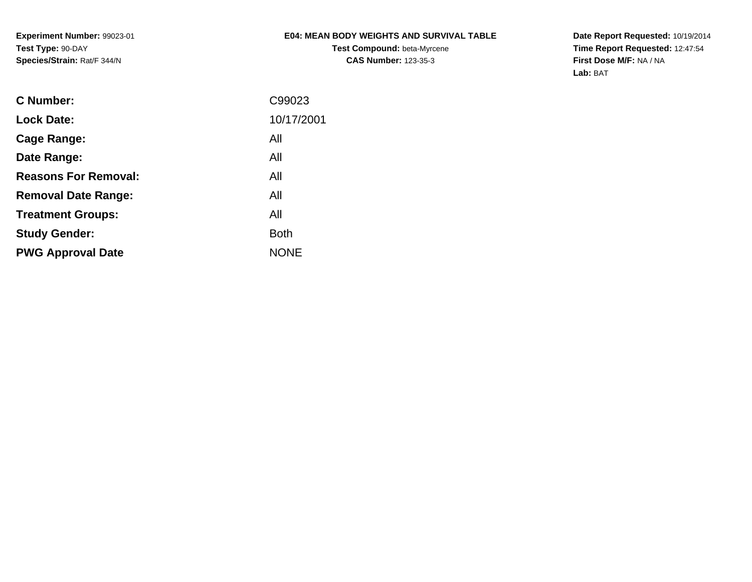**Experiment Number:** 99023-01**Test Type:** 90-DAY**Species/Strain:** Rat/F 344/N

## **E04: MEAN BODY WEIGHTS AND SURVIVAL TABLE**

**Test Compound:** beta-Myrcene**CAS Number:** 123-35-3

**Date Report Requested:** 10/19/2014 **Time Report Requested:** 12:47:54**First Dose M/F:** NA / NA**Lab:** BAT

| C99023      |
|-------------|
| 10/17/2001  |
| All         |
| All         |
| All         |
| All         |
| All         |
| <b>Both</b> |
| <b>NONE</b> |
|             |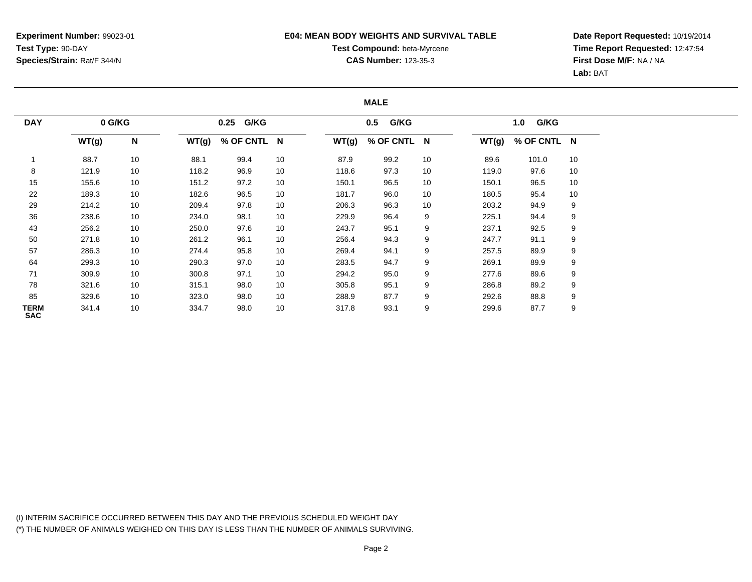### **E04: MEAN BODY WEIGHTS AND SURVIVAL TABLE**

# **Test Compound:** beta-Myrcene**CAS Number:** 123-35-3

**Date Report Requested:** 10/19/2014**Time Report Requested:** 12:47:54**First Dose M/F:** NA / NA**Lab:** BAT

#### **MALE**

| <b>DAY</b><br>0 G/KG |       |                 |       | 0.25 G/KG   |    |       | G/KG<br>0.5 |    |       | G/KG<br>1.0 |    |  |
|----------------------|-------|-----------------|-------|-------------|----|-------|-------------|----|-------|-------------|----|--|
|                      | WT(g) | N               | WT(g) | % OF CNTL N |    | WT(g) | % OF CNTL N |    | WT(g) | % OF CNTL N |    |  |
|                      | 88.7  | 10              | 88.1  | 99.4        | 10 | 87.9  | 99.2        | 10 | 89.6  | 101.0       | 10 |  |
| 8                    | 121.9 | 10              | 118.2 | 96.9        | 10 | 118.6 | 97.3        | 10 | 119.0 | 97.6        | 10 |  |
| 15                   | 155.6 | 10              | 151.2 | 97.2        | 10 | 150.1 | 96.5        | 10 | 150.1 | 96.5        | 10 |  |
| 22                   | 189.3 | 10              | 182.6 | 96.5        | 10 | 181.7 | 96.0        | 10 | 180.5 | 95.4        | 10 |  |
| 29                   | 214.2 | 10              | 209.4 | 97.8        | 10 | 206.3 | 96.3        | 10 | 203.2 | 94.9        | 9  |  |
| 36                   | 238.6 | 10 <sup>°</sup> | 234.0 | 98.1        | 10 | 229.9 | 96.4        | 9  | 225.1 | 94.4        | 9  |  |
| 43                   | 256.2 | 10              | 250.0 | 97.6        | 10 | 243.7 | 95.1        | 9  | 237.1 | 92.5        | 9  |  |
| 50                   | 271.8 | 10              | 261.2 | 96.1        | 10 | 256.4 | 94.3        | 9  | 247.7 | 91.1        | 9  |  |
| 57                   | 286.3 | 10              | 274.4 | 95.8        | 10 | 269.4 | 94.1        | 9  | 257.5 | 89.9        | 9  |  |
| 64                   | 299.3 | 10              | 290.3 | 97.0        | 10 | 283.5 | 94.7        | 9  | 269.1 | 89.9        | 9  |  |
| 71                   | 309.9 | 10              | 300.8 | 97.1        | 10 | 294.2 | 95.0        | 9  | 277.6 | 89.6        | 9  |  |
| 78                   | 321.6 | 10              | 315.1 | 98.0        | 10 | 305.8 | 95.1        | 9  | 286.8 | 89.2        | 9  |  |
| 85                   | 329.6 | 10 <sup>°</sup> | 323.0 | 98.0        | 10 | 288.9 | 87.7        | 9  | 292.6 | 88.8        | 9  |  |
| TERM<br><b>SAC</b>   | 341.4 | 10              | 334.7 | 98.0        | 10 | 317.8 | 93.1        | 9  | 299.6 | 87.7        | 9  |  |

(I) INTERIM SACRIFICE OCCURRED BETWEEN THIS DAY AND THE PREVIOUS SCHEDULED WEIGHT DAY(\*) THE NUMBER OF ANIMALS WEIGHED ON THIS DAY IS LESS THAN THE NUMBER OF ANIMALS SURVIVING.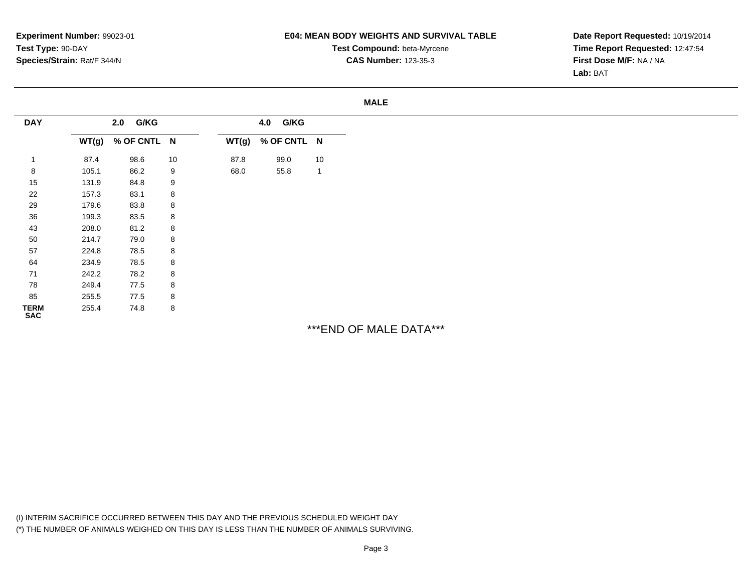**Experiment Number:** 99023-01**Test Type:** 90-DAY**Species/Strain:** Rat/F 344/N

#### **E04: MEAN BODY WEIGHTS AND SURVIVAL TABLE**

**Test Compound:** beta-Myrcene**CAS Number:** 123-35-3

#### **MALE**

| <b>DAY</b>          | 2.0 G/KG |             | 4.0 G/KG |       |             |              |  |  |
|---------------------|----------|-------------|----------|-------|-------------|--------------|--|--|
|                     | WT(g)    | % OF CNTL N |          | WT(g) | % OF CNTL N |              |  |  |
|                     | 87.4     | 98.6        | 10       | 87.8  | 99.0        | 10           |  |  |
| 8                   | 105.1    | 86.2        | 9        | 68.0  | 55.8        | $\mathbf{1}$ |  |  |
| 15                  | 131.9    | 84.8        | 9        |       |             |              |  |  |
| 22                  | 157.3    | 83.1        | 8        |       |             |              |  |  |
| 29                  | 179.6    | 83.8        | 8        |       |             |              |  |  |
| 36                  | 199.3    | 83.5        | 8        |       |             |              |  |  |
| 43                  | 208.0    | 81.2        | 8        |       |             |              |  |  |
| 50                  | 214.7    | 79.0        | 8        |       |             |              |  |  |
| 57                  | 224.8    | 78.5        | 8        |       |             |              |  |  |
| 64                  | 234.9    | 78.5        | 8        |       |             |              |  |  |
| 71                  | 242.2    | 78.2        | 8        |       |             |              |  |  |
| 78                  | 249.4    | 77.5        | 8        |       |             |              |  |  |
| 85                  | 255.5    | 77.5        | 8        |       |             |              |  |  |
| <b>TERM<br/>SAC</b> | 255.4    | 74.8        | 8        |       |             |              |  |  |

\*\*\*END OF MALE DATA\*\*\*

(I) INTERIM SACRIFICE OCCURRED BETWEEN THIS DAY AND THE PREVIOUS SCHEDULED WEIGHT DAY(\*) THE NUMBER OF ANIMALS WEIGHED ON THIS DAY IS LESS THAN THE NUMBER OF ANIMALS SURVIVING.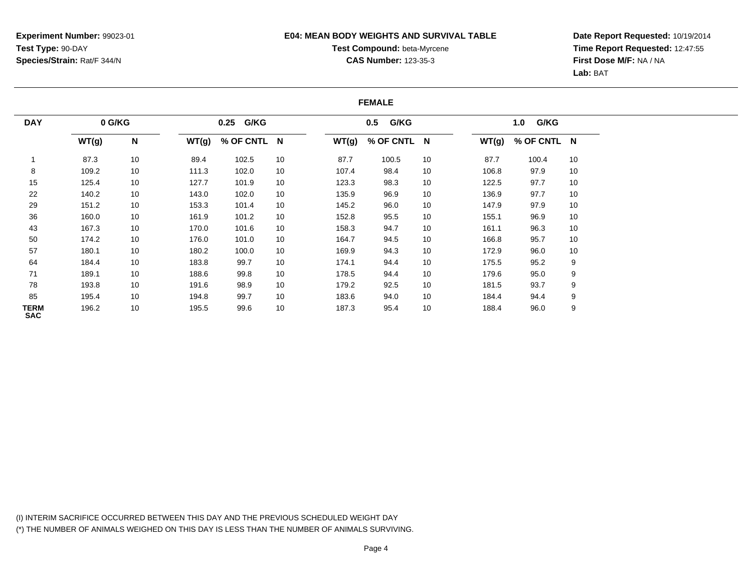#### **E04: MEAN BODY WEIGHTS AND SURVIVAL TABLE**

# **Test Compound:** beta-Myrcene**CAS Number:** 123-35-3

**Date Report Requested:** 10/19/2014**Time Report Requested:** 12:47:55**First Dose M/F:** NA / NA**Lab:** BAT

#### **FEMALE**

| 0 G/KG<br><b>DAY</b>      |       |    |       | 0.25 G/KG   |    |       | G/KG<br>0.5 |    |       | G/KG<br>1.0 |    |  |
|---------------------------|-------|----|-------|-------------|----|-------|-------------|----|-------|-------------|----|--|
|                           | WT(g) | N  | WT(g) | % OF CNTL N |    | WT(g) | % OF CNTL N |    | WT(g) | % OF CNTL N |    |  |
|                           | 87.3  | 10 | 89.4  | 102.5       | 10 | 87.7  | 100.5       | 10 | 87.7  | 100.4       | 10 |  |
| 8                         | 109.2 | 10 | 111.3 | 102.0       | 10 | 107.4 | 98.4        | 10 | 106.8 | 97.9        | 10 |  |
| 15                        | 125.4 | 10 | 127.7 | 101.9       | 10 | 123.3 | 98.3        | 10 | 122.5 | 97.7        | 10 |  |
| 22                        | 140.2 | 10 | 143.0 | 102.0       | 10 | 135.9 | 96.9        | 10 | 136.9 | 97.7        | 10 |  |
| 29                        | 151.2 | 10 | 153.3 | 101.4       | 10 | 145.2 | 96.0        | 10 | 147.9 | 97.9        | 10 |  |
| 36                        | 160.0 | 10 | 161.9 | 101.2       | 10 | 152.8 | 95.5        | 10 | 155.1 | 96.9        | 10 |  |
| 43                        | 167.3 | 10 | 170.0 | 101.6       | 10 | 158.3 | 94.7        | 10 | 161.1 | 96.3        | 10 |  |
| 50                        | 174.2 | 10 | 176.0 | 101.0       | 10 | 164.7 | 94.5        | 10 | 166.8 | 95.7        | 10 |  |
| 57                        | 180.1 | 10 | 180.2 | 100.0       | 10 | 169.9 | 94.3        | 10 | 172.9 | 96.0        | 10 |  |
| 64                        | 184.4 | 10 | 183.8 | 99.7        | 10 | 174.1 | 94.4        | 10 | 175.5 | 95.2        | 9  |  |
| 71                        | 189.1 | 10 | 188.6 | 99.8        | 10 | 178.5 | 94.4        | 10 | 179.6 | 95.0        | 9  |  |
| 78                        | 193.8 | 10 | 191.6 | 98.9        | 10 | 179.2 | 92.5        | 10 | 181.5 | 93.7        | 9  |  |
| 85                        | 195.4 | 10 | 194.8 | 99.7        | 10 | 183.6 | 94.0        | 10 | 184.4 | 94.4        | 9  |  |
| <b>TERM</b><br><b>SAC</b> | 196.2 | 10 | 195.5 | 99.6        | 10 | 187.3 | 95.4        | 10 | 188.4 | 96.0        | 9  |  |